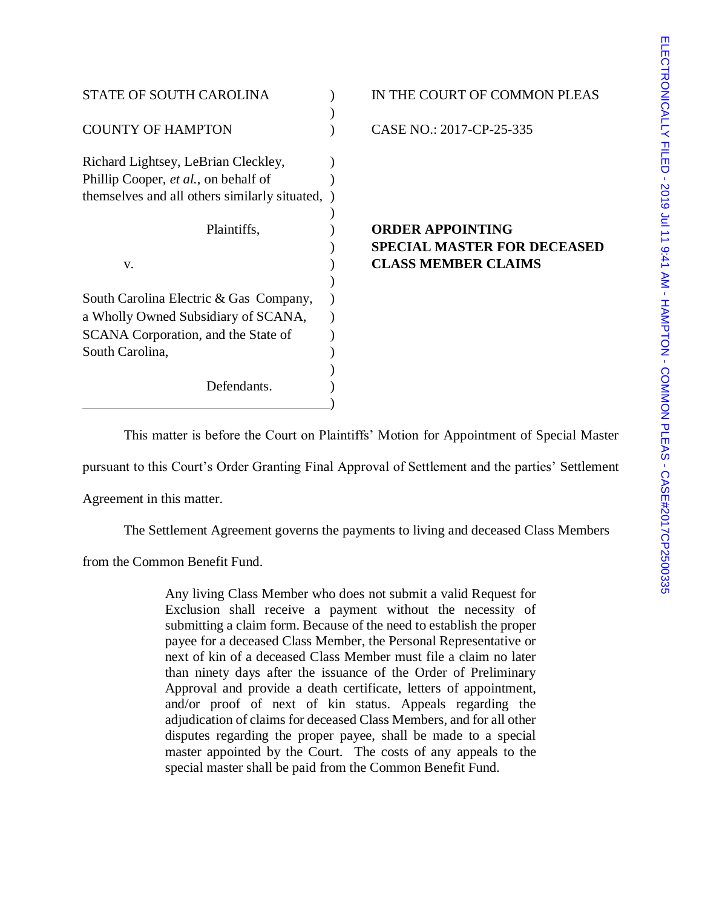| IN THE COURT OF COMMON PLEAS |                                               |
|------------------------------|-----------------------------------------------|
| CASE NO.: 2017-CP-25-335     |                                               |
|                              |                                               |
|                              | <b>ORDER APPOINTING</b>                       |
|                              | <b>SPECIAL MASTER FOR DECEASED</b>            |
|                              | <b>CLASS MEMBER CLAIMS</b>                    |
|                              |                                               |
|                              |                                               |
|                              |                                               |
|                              | themselves and all others similarly situated, |

This matter is before the Court on Plaintiffs' Motion for Appointment of Special Master

pursuant to this Court's Order Granting Final Approval of Settlement and the parties' Settlement

Agreement in this matter.

The Settlement Agreement governs the payments to living and deceased Class Members

from the Common Benefit Fund.

Any living Class Member who does not submit a valid Request for Exclusion shall receive a payment without the necessity of submitting a claim form. Because of the need to establish the proper payee for a deceased Class Member, the Personal Representative or next of kin of a deceased Class Member must file a claim no later than ninety days after the issuance of the Order of Preliminary Approval and provide a death certificate, letters of appointment, and/or proof of next of kin status. Appeals regarding the adjudication of claims for deceased Class Members, and for all other disputes regarding the proper payee, shall be made to a special master appointed by the Court. The costs of any appeals to the special master shall be paid from the Common Benefit Fund.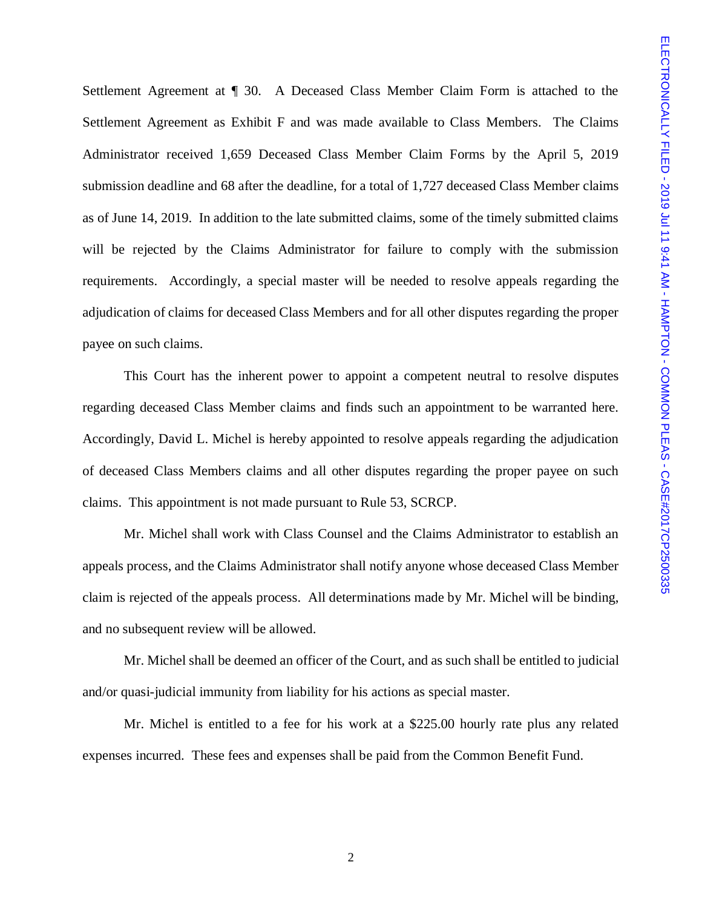Settlement Agreement at ¶ 30. A Deceased Class Member Claim Form is attached to the Settlement Agreement as Exhibit F and was made available to Class Members. The Claims Administrator received 1,659 Deceased Class Member Claim Forms by the April 5, 2019 submission deadline and 68 after the deadline, for a total of 1,727 deceased Class Member claims as of June 14, 2019. In addition to the late submitted claims, some of the timely submitted claims will be rejected by the Claims Administrator for failure to comply with the submission requirements. Accordingly, a special master will be needed to resolve appeals regarding the adjudication of claims for deceased Class Members and for all other disputes regarding the proper payee on such claims.

This Court has the inherent power to appoint a competent neutral to resolve disputes regarding deceased Class Member claims and finds such an appointment to be warranted here. Accordingly, David L. Michel is hereby appointed to resolve appeals regarding the adjudication of deceased Class Members claims and all other disputes regarding the proper payee on such claims. This appointment is not made pursuant to Rule 53, SCRCP.

Mr. Michel shall work with Class Counsel and the Claims Administrator to establish an appeals process, and the Claims Administrator shall notify anyone whose deceased Class Member claim is rejected of the appeals process. All determinations made by Mr. Michel will be binding, and no subsequent review will be allowed.

Mr. Michel shall be deemed an officer of the Court, and as such shall be entitled to judicial and/or quasi-judicial immunity from liability for his actions as special master.

Mr. Michel is entitled to a fee for his work at a \$225.00 hourly rate plus any related expenses incurred. These fees and expenses shall be paid from the Common Benefit Fund.

2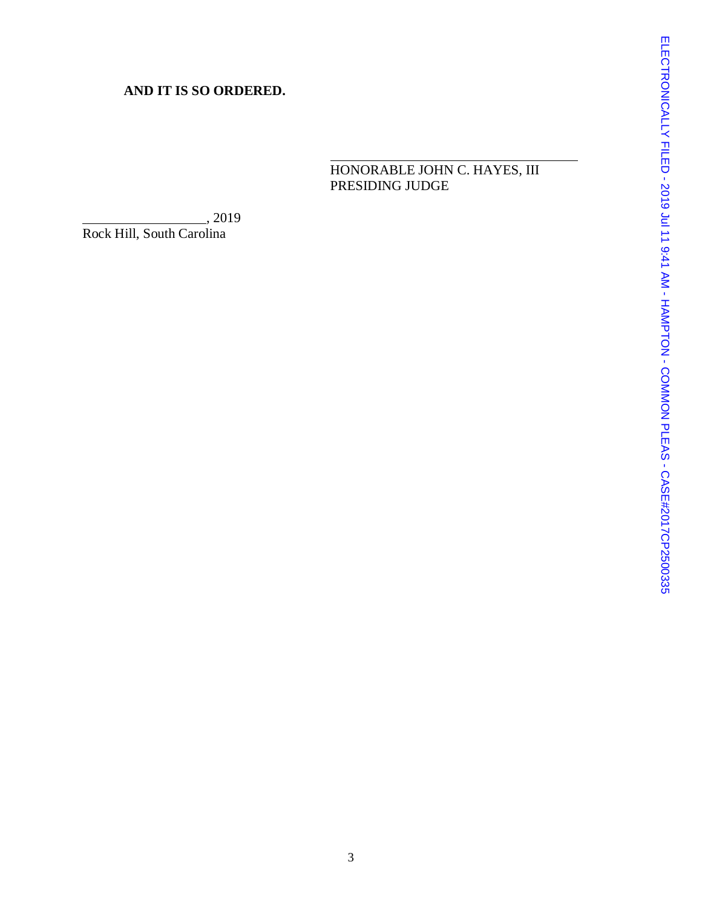## **AND IT IS SO ORDERED.**

HONORABLE JOHN C. HAYES, III PRESIDING JUDGE

 $\frac{1}{2019}$ Rock Hill, South Carolina